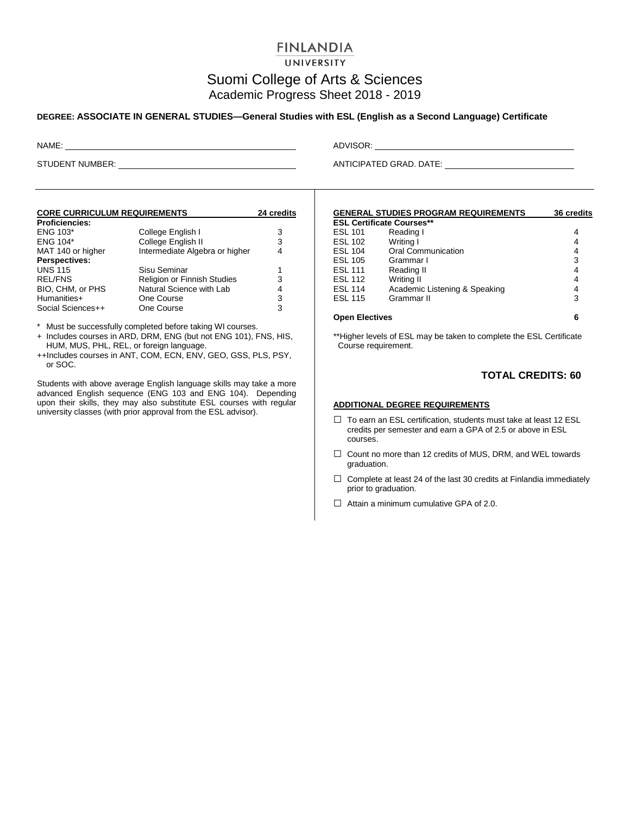## **FINLANDIA**

UNIVERSITY

# Suomi College of Arts & Sciences Academic Progress Sheet 2018 - 2019

#### **DEGREE: ASSOCIATE IN GENERAL STUDIES—General Studies with ESL (English as a Second Language) Certificate**

| <b>CORE CURRICULUM REQUIREMENTS</b> | 24 credits                     |   |
|-------------------------------------|--------------------------------|---|
| <b>Proficiencies:</b>               |                                |   |
| ENG 103*                            | College English I              | 3 |
| <b>ENG 104*</b>                     | College English II             | 3 |
| MAT 140 or higher                   | Intermediate Algebra or higher | 4 |
| Perspectives:                       |                                |   |
| <b>UNS 115</b>                      | Sisu Seminar                   | 1 |
| <b>REL/FNS</b>                      | Religion or Finnish Studies    | 3 |
| BIO, CHM, or PHS                    | Natural Science with Lab       | 4 |
| Humanities+                         | One Course                     | 3 |
| Social Sciences++                   | One Course                     | 3 |

\* Must be successfully completed before taking WI courses.

- + Includes courses in ARD, DRM, ENG (but not ENG 101), FNS, HIS, HUM, MUS, PHL, REL, or foreign language.
- ++Includes courses in ANT, COM, ECN, ENV, GEO, GSS, PLS, PSY, or SOC.

Students with above average English language skills may take a more advanced English sequence (ENG 103 and ENG 104). Depending upon their skills, they may also substitute ESL courses with regular university classes (with prior approval from the ESL advisor).

NAME: ADVISOR:

STUDENT NUMBER: ANTICIPATED GRAD. DATE:

|                                  | <b>GENERAL STUDIES PROGRAM REQUIREMENTS</b> | <b>36 credits</b> |  |  |  |
|----------------------------------|---------------------------------------------|-------------------|--|--|--|
| <b>ESL Certificate Courses**</b> |                                             |                   |  |  |  |
| <b>ESL 101</b>                   | Reading I                                   | 4                 |  |  |  |
| <b>ESL 102</b>                   | Writing I                                   | 4                 |  |  |  |
| <b>ESL 104</b>                   | <b>Oral Communication</b>                   | 4                 |  |  |  |
| <b>ESL 105</b>                   | Grammar I                                   | 3                 |  |  |  |
| <b>ESL 111</b>                   | Reading II                                  | 4                 |  |  |  |
| <b>ESL 112</b>                   | Writing II                                  | 4                 |  |  |  |
| <b>ESL 114</b>                   | Academic Listening & Speaking               | 4                 |  |  |  |
| <b>ESL 115</b>                   | Grammar II                                  | 3                 |  |  |  |
| <b>Open Electives</b>            |                                             | 6                 |  |  |  |

\*\*Higher levels of ESL may be taken to complete the ESL Certificate Course requirement.

### **TOTAL CREDITS: 60**

#### **ADDITIONAL DEGREE REQUIREMENTS**

- □ To earn an ESL certification, students must take at least 12 ESL credits per semester and earn a GPA of 2.5 or above in ESL courses.
- □ Count no more than 12 credits of MUS, DRM, and WEL towards graduation.
- $\Box$  Complete at least 24 of the last 30 credits at Finlandia immediately prior to graduation.
- $\Box$  Attain a minimum cumulative GPA of 2.0.